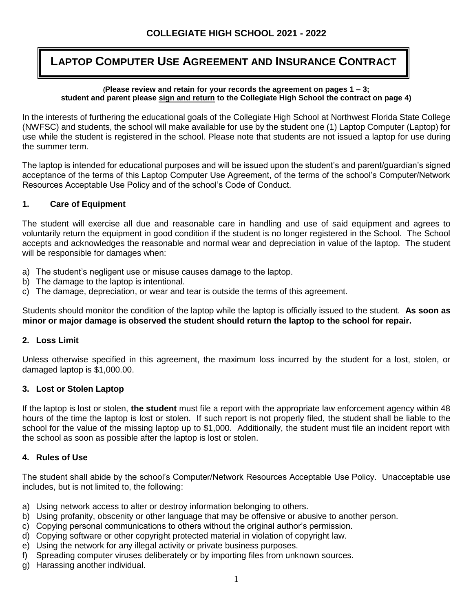# **LAPTOP COMPUTER USE AGREEMENT AND INSURANCE CONTRACT**

#### **(Please review and retain for your records the agreement on pages 1 – 3; student and parent please sign and return to the Collegiate High School the contract on page 4)**

In the interests of furthering the educational goals of the Collegiate High School at Northwest Florida State College (NWFSC) and students, the school will make available for use by the student one (1) Laptop Computer (Laptop) for use while the student is registered in the school. Please note that students are not issued a laptop for use during the summer term.

The laptop is intended for educational purposes and will be issued upon the student's and parent/guardian's signed acceptance of the terms of this Laptop Computer Use Agreement, of the terms of the school's Computer/Network Resources Acceptable Use Policy and of the school's Code of Conduct.

#### **1. Care of Equipment**

The student will exercise all due and reasonable care in handling and use of said equipment and agrees to voluntarily return the equipment in good condition if the student is no longer registered in the School. The School accepts and acknowledges the reasonable and normal wear and depreciation in value of the laptop. The student will be responsible for damages when:

- a) The student's negligent use or misuse causes damage to the laptop.
- b) The damage to the laptop is intentional.
- c) The damage, depreciation, or wear and tear is outside the terms of this agreement.

Students should monitor the condition of the laptop while the laptop is officially issued to the student. **As soon as minor or major damage is observed the student should return the laptop to the school for repair.**

#### **2. Loss Limit**

Unless otherwise specified in this agreement, the maximum loss incurred by the student for a lost, stolen, or damaged laptop is \$1,000.00.

#### **3. Lost or Stolen Laptop**

If the laptop is lost or stolen, **the student** must file a report with the appropriate law enforcement agency within 48 hours of the time the laptop is lost or stolen. If such report is not properly filed, the student shall be liable to the school for the value of the missing laptop up to \$1,000. Additionally, the student must file an incident report with the school as soon as possible after the laptop is lost or stolen.

#### **4. Rules of Use**

The student shall abide by the school's Computer/Network Resources Acceptable Use Policy. Unacceptable use includes, but is not limited to, the following:

- a) Using network access to alter or destroy information belonging to others.
- b) Using profanity, obscenity or other language that may be offensive or abusive to another person.
- c) Copying personal communications to others without the original author's permission.
- d) Copying software or other copyright protected material in violation of copyright law.
- e) Using the network for any illegal activity or private business purposes.
- f) Spreading computer viruses deliberately or by importing files from unknown sources.
- g) Harassing another individual.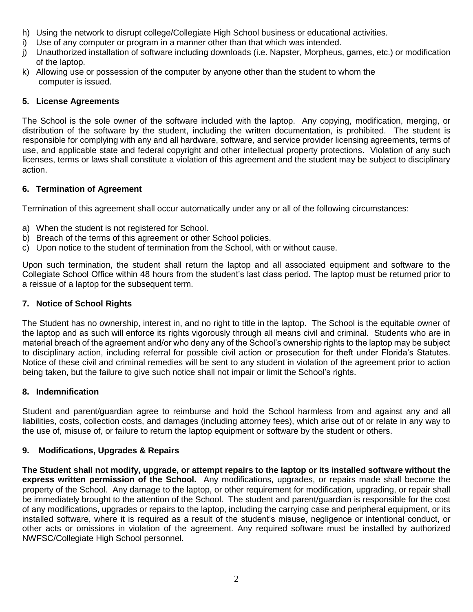- h) Using the network to disrupt college/Collegiate High School business or educational activities.
- i) Use of any computer or program in a manner other than that which was intended.
- j) Unauthorized installation of software including downloads (i.e. Napster, Morpheus, games, etc.) or modification of the laptop.
- k) Allowing use or possession of the computer by anyone other than the student to whom the computer is issued.

### **5. License Agreements**

The School is the sole owner of the software included with the laptop. Any copying, modification, merging, or distribution of the software by the student, including the written documentation, is prohibited. The student is responsible for complying with any and all hardware, software, and service provider licensing agreements, terms of use, and applicable state and federal copyright and other intellectual property protections. Violation of any such licenses, terms or laws shall constitute a violation of this agreement and the student may be subject to disciplinary action.

#### **6. Termination of Agreement**

Termination of this agreement shall occur automatically under any or all of the following circumstances:

- a) When the student is not registered for School.
- b) Breach of the terms of this agreement or other School policies.
- c) Upon notice to the student of termination from the School, with or without cause.

Upon such termination, the student shall return the laptop and all associated equipment and software to the Collegiate School Office within 48 hours from the student's last class period. The laptop must be returned prior to a reissue of a laptop for the subsequent term.

#### **7. Notice of School Rights**

The Student has no ownership, interest in, and no right to title in the laptop. The School is the equitable owner of the laptop and as such will enforce its rights vigorously through all means civil and criminal. Students who are in material breach of the agreement and/or who deny any of the School's ownership rights to the laptop may be subject to disciplinary action, including referral for possible civil action or prosecution for theft under Florida's Statutes. Notice of these civil and criminal remedies will be sent to any student in violation of the agreement prior to action being taken, but the failure to give such notice shall not impair or limit the School's rights.

#### **8. Indemnification**

Student and parent/guardian agree to reimburse and hold the School harmless from and against any and all liabilities, costs, collection costs, and damages (including attorney fees), which arise out of or relate in any way to the use of, misuse of, or failure to return the laptop equipment or software by the student or others.

## **9. Modifications, Upgrades & Repairs**

**The Student shall not modify, upgrade, or attempt repairs to the laptop or its installed software without the express written permission of the School.** Any modifications, upgrades, or repairs made shall become the property of the School. Any damage to the laptop, or other requirement for modification, upgrading, or repair shall be immediately brought to the attention of the School. The student and parent/guardian is responsible for the cost of any modifications, upgrades or repairs to the laptop, including the carrying case and peripheral equipment, or its installed software, where it is required as a result of the student's misuse, negligence or intentional conduct, or other acts or omissions in violation of the agreement. Any required software must be installed by authorized NWFSC/Collegiate High School personnel.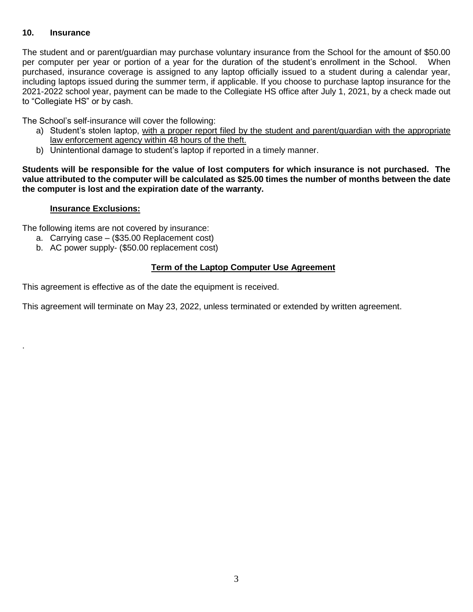#### **10. Insurance**

.

The student and or parent/guardian may purchase voluntary insurance from the School for the amount of \$50.00 per computer per year or portion of a year for the duration of the student's enrollment in the School. When purchased, insurance coverage is assigned to any laptop officially issued to a student during a calendar year, including laptops issued during the summer term, if applicable. If you choose to purchase laptop insurance for the 2021-2022 school year, payment can be made to the Collegiate HS office after July 1, 2021, by a check made out to "Collegiate HS" or by cash.

The School's self-insurance will cover the following:

- a) Student's stolen laptop, with a proper report filed by the student and parent/guardian with the appropriate law enforcement agency within 48 hours of the theft.
- b) Unintentional damage to student's laptop if reported in a timely manner.

**Students will be responsible for the value of lost computers for which insurance is not purchased. The value attributed to the computer will be calculated as \$25.00 times the number of months between the date the computer is lost and the expiration date of the warranty.**

#### **Insurance Exclusions:**

The following items are not covered by insurance:

- a. Carrying case (\$35.00 Replacement cost)
- b. AC power supply- (\$50.00 replacement cost)

#### **Term of the Laptop Computer Use Agreement**

This agreement is effective as of the date the equipment is received.

This agreement will terminate on May 23, 2022, unless terminated or extended by written agreement.